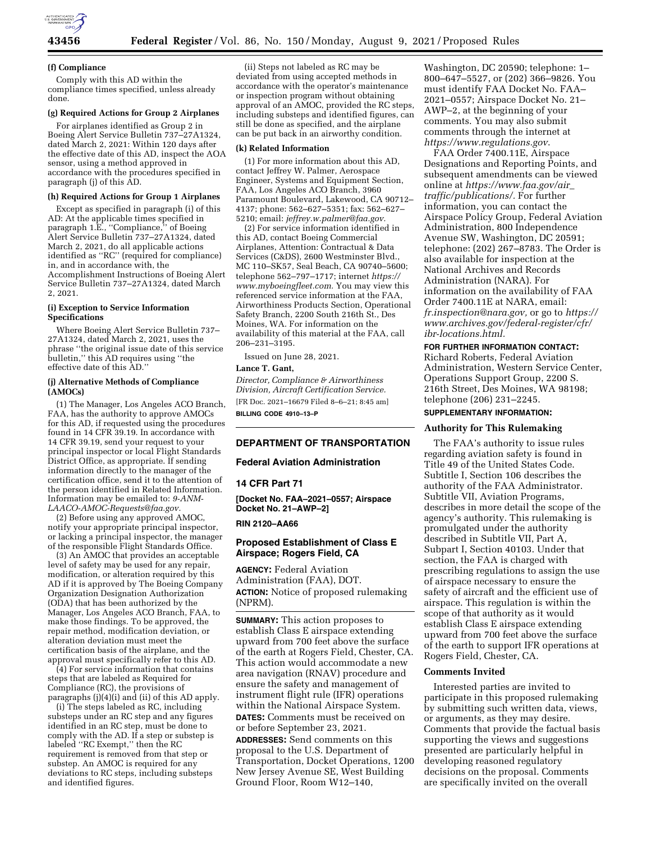

#### **(f) Compliance**

Comply with this AD within the compliance times specified, unless already done.

## **(g) Required Actions for Group 2 Airplanes**

For airplanes identified as Group 2 in Boeing Alert Service Bulletin 737–27A1324, dated March 2, 2021: Within 120 days after the effective date of this AD, inspect the AOA sensor, using a method approved in accordance with the procedures specified in paragraph (j) of this AD.

## **(h) Required Actions for Group 1 Airplanes**

Except as specified in paragraph (i) of this AD: At the applicable times specified in paragraph 1.E., ''Compliance,'' of Boeing Alert Service Bulletin 737–27A1324, dated March 2, 2021, do all applicable actions identified as ''RC'' (required for compliance) in, and in accordance with, the Accomplishment Instructions of Boeing Alert Service Bulletin 737–27A1324, dated March 2, 2021.

## **(i) Exception to Service Information Specifications**

Where Boeing Alert Service Bulletin 737– 27A1324, dated March 2, 2021, uses the phrase ''the original issue date of this service bulletin,'' this AD requires using ''the effective date of this AD.''

## **(j) Alternative Methods of Compliance (AMOCs)**

(1) The Manager, Los Angeles ACO Branch, FAA, has the authority to approve AMOCs for this AD, if requested using the procedures found in 14 CFR 39.19. In accordance with 14 CFR 39.19, send your request to your principal inspector or local Flight Standards District Office, as appropriate. If sending information directly to the manager of the certification office, send it to the attention of the person identified in Related Information. Information may be emailed to: *[9-ANM-](mailto:9-ANM-LAACO-AMOC-Requests@faa.gov)[LAACO-AMOC-Requests@faa.gov.](mailto:9-ANM-LAACO-AMOC-Requests@faa.gov)* 

(2) Before using any approved AMOC, notify your appropriate principal inspector, or lacking a principal inspector, the manager of the responsible Flight Standards Office.

(3) An AMOC that provides an acceptable level of safety may be used for any repair, modification, or alteration required by this AD if it is approved by The Boeing Company Organization Designation Authorization (ODA) that has been authorized by the Manager, Los Angeles ACO Branch, FAA, to make those findings. To be approved, the repair method, modification deviation, or alteration deviation must meet the certification basis of the airplane, and the approval must specifically refer to this AD.

(4) For service information that contains steps that are labeled as Required for Compliance (RC), the provisions of paragraphs (j)(4)(i) and (ii) of this AD apply.

(i) The steps labeled as RC, including substeps under an RC step and any figures identified in an RC step, must be done to comply with the AD. If a step or substep is labeled ''RC Exempt,'' then the RC requirement is removed from that step or substep. An AMOC is required for any deviations to RC steps, including substeps and identified figures.

(ii) Steps not labeled as RC may be deviated from using accepted methods in accordance with the operator's maintenance or inspection program without obtaining approval of an AMOC, provided the RC steps, including substeps and identified figures, can still be done as specified, and the airplane can be put back in an airworthy condition.

#### **(k) Related Information**

(1) For more information about this AD, contact Jeffrey W. Palmer, Aerospace Engineer, Systems and Equipment Section, FAA, Los Angeles ACO Branch, 3960 Paramount Boulevard, Lakewood, CA 90712– 4137; phone: 562–627–5351; fax: 562–627– 5210; email: *[jeffrey.w.palmer@faa.gov.](mailto:jeffrey.w.palmer@faa.gov)* 

(2) For service information identified in this AD, contact Boeing Commercial Airplanes, Attention: Contractual & Data Services (C&DS), 2600 Westminster Blvd., MC 110–SK57, Seal Beach, CA 90740–5600; telephone 562–797–1717; internet *[https://](https://www.myboeingfleet.com) [www.myboeingfleet.com.](https://www.myboeingfleet.com)* You may view this referenced service information at the FAA, Airworthiness Products Section, Operational Safety Branch, 2200 South 216th St., Des Moines, WA. For information on the availability of this material at the FAA, call 206–231–3195.

Issued on June 28, 2021.

## **Lance T. Gant,**

*Director, Compliance & Airworthiness Division, Aircraft Certification Service.*  [FR Doc. 2021–16679 Filed 8–6–21; 8:45 am] **BILLING CODE 4910–13–P** 

# **DEPARTMENT OF TRANSPORTATION**

## **Federal Aviation Administration**

## **14 CFR Part 71**

**[Docket No. FAA–2021–0557; Airspace Docket No. 21–AWP–2]** 

## **RIN 2120–AA66**

## **Proposed Establishment of Class E Airspace; Rogers Field, CA**

**AGENCY:** Federal Aviation Administration (FAA), DOT. **ACTION:** Notice of proposed rulemaking (NPRM).

**SUMMARY:** This action proposes to establish Class E airspace extending upward from 700 feet above the surface of the earth at Rogers Field, Chester, CA. This action would accommodate a new area navigation (RNAV) procedure and ensure the safety and management of instrument flight rule (IFR) operations within the National Airspace System. **DATES:** Comments must be received on or before September 23, 2021.

**ADDRESSES:** Send comments on this proposal to the U.S. Department of Transportation, Docket Operations, 1200 New Jersey Avenue SE, West Building Ground Floor, Room W12–140,

Washington, DC 20590; telephone: 1– 800–647–5527, or (202) 366–9826. You must identify FAA Docket No. FAA– 2021–0557; Airspace Docket No. 21– AWP–2, at the beginning of your comments. You may also submit comments through the internet at *<https://www.regulations.gov>*.

FAA Order 7400.11E, Airspace Designations and Reporting Points, and subsequent amendments can be viewed online at *[https://www.faa.gov/air](https://www.faa.gov/air_traffic/publications/)*\_ *[traffic/publications/.](https://www.faa.gov/air_traffic/publications/)* For further information, you can contact the Airspace Policy Group, Federal Aviation Administration, 800 Independence Avenue SW, Washington, DC 20591; telephone: (202) 267–8783. The Order is also available for inspection at the National Archives and Records Administration (NARA). For information on the availability of FAA Order 7400.11E at NARA, email: *[fr.inspection@nara.gov,](mailto:fr.inspection@nara.gov)* or go to *[https://](https://www.archives.gov/federal-register/cfr/ibr-locations.html) [www.archives.gov/federal-register/cfr/](https://www.archives.gov/federal-register/cfr/ibr-locations.html)  [ibr-locations.html.](https://www.archives.gov/federal-register/cfr/ibr-locations.html)* 

## **FOR FURTHER INFORMATION CONTACT:**

Richard Roberts, Federal Aviation Administration, Western Service Center, Operations Support Group, 2200 S. 216th Street, Des Moines, WA 98198; telephone (206) 231–2245.

## **SUPPLEMENTARY INFORMATION:**

#### **Authority for This Rulemaking**

The FAA's authority to issue rules regarding aviation safety is found in Title 49 of the United States Code. Subtitle I, Section 106 describes the authority of the FAA Administrator. Subtitle VII, Aviation Programs, describes in more detail the scope of the agency's authority. This rulemaking is promulgated under the authority described in Subtitle VII, Part A, Subpart I, Section 40103. Under that section, the FAA is charged with prescribing regulations to assign the use of airspace necessary to ensure the safety of aircraft and the efficient use of airspace. This regulation is within the scope of that authority as it would establish Class E airspace extending upward from 700 feet above the surface of the earth to support IFR operations at Rogers Field, Chester, CA.

#### **Comments Invited**

Interested parties are invited to participate in this proposed rulemaking by submitting such written data, views, or arguments, as they may desire. Comments that provide the factual basis supporting the views and suggestions presented are particularly helpful in developing reasoned regulatory decisions on the proposal. Comments are specifically invited on the overall